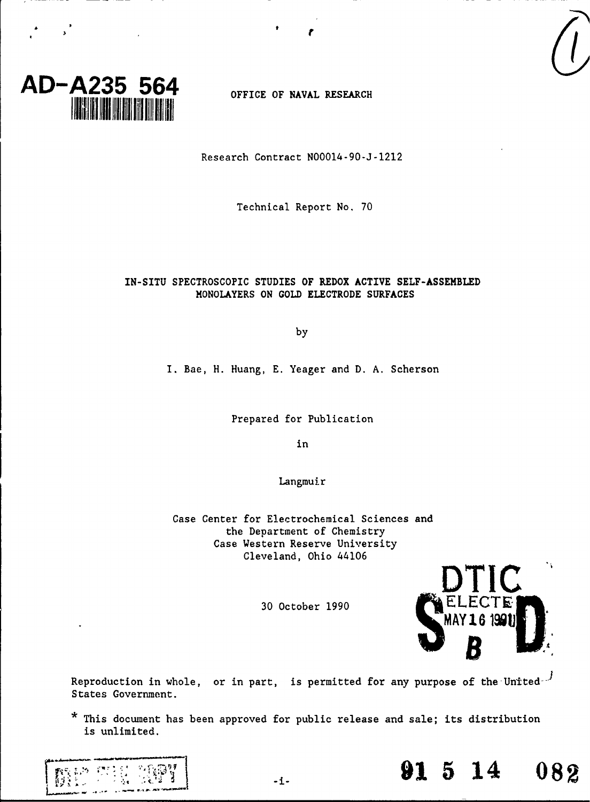

**4r** i

Research Contract N00014-90-J-1212

Technical Report No, 70

## IN-SITU SPECTROSCOPIC STUDIES OF REDOX ACTIVE **SELF-ASSEMBLED MONOLAYERS ON GOLD ELECTRODE SURFACES**

**by**

I. Bae, H. Huang, **E.** Yeager and **D. A.** Scherson

Prepared for Publication

in

Langmuir

Case Center for Electrochemical Sciences and the Department of Chemistry Case Western Reserve University Cleveland, Ohio 44106



Reproduction in whole, or in part, is permitted for any purpose of the United- $^{\mathit{J}}$ States Government.

\* This document has been approved for public release and sale; its distribution is unlimited.



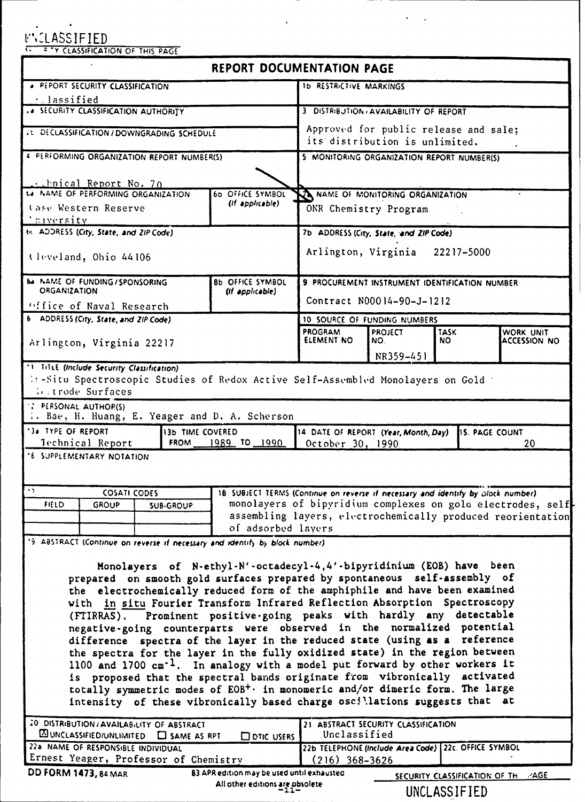|                                                               | REPORT DOCUMENTATION PAGE                                               |                                                                             |                                         |                                  |  |  |  |
|---------------------------------------------------------------|-------------------------------------------------------------------------|-----------------------------------------------------------------------------|-----------------------------------------|----------------------------------|--|--|--|
| . PEPORT SECURITY CLASSIFICATION                              |                                                                         | <b>1b RESTRICTIVE MARKINGS</b>                                              |                                         |                                  |  |  |  |
| .lassified                                                    |                                                                         |                                                                             |                                         |                                  |  |  |  |
| SECURITY CLASSIFICATION AUTHORITY                             |                                                                         |                                                                             | 3 DISTRIBUTION / AVAILABILITY OF REPORT |                                  |  |  |  |
| LE DECLASSIFICATION / DOWNGRADING SCHEDULE                    | Approved for public release and sale;<br>its distribution is unlimited. |                                                                             |                                         |                                  |  |  |  |
| 4 PERFORMING ORGANIZATION REPORT NUMBER(S)                    | 5 MONITORING ORGANIZATION REPORT NUMBER(S)                              |                                                                             |                                         |                                  |  |  |  |
| bnical Report No. 70                                          |                                                                         |                                                                             |                                         |                                  |  |  |  |
| <b>LA NAME OF PERFORMING ORGANIZATION</b>                     | 60 OFFICE SYMBOL                                                        | NAME OF MONITORING ORGANIZATION                                             |                                         |                                  |  |  |  |
| Case Western Reserve                                          | (if applicable)                                                         | ONR Chemistry Program                                                       |                                         |                                  |  |  |  |
| 'niversity                                                    |                                                                         |                                                                             |                                         |                                  |  |  |  |
| tx. ADDRESS (City, State, and ZIP Code).                      |                                                                         |                                                                             | 7b ADDRESS (City, State, and ZIP Code)  |                                  |  |  |  |
| Cleveland, Ohio 44106                                         |                                                                         |                                                                             | Arlington, Virginia                     | 22217-5000                       |  |  |  |
| <b>64 NAME OF FUNDING / SPONSORING</b><br><b>ORGANIZATION</b> | <b>8b OFFICE SYMBOL</b>                                                 | 9 PROCUREMENT INSTRUMENT IDENTIFICATION NUMBER<br>Contract N00014-90-J-1212 |                                         |                                  |  |  |  |
| Office of Naval Research                                      | (if applicable)                                                         |                                                                             |                                         |                                  |  |  |  |
| <b>6</b> ADDRESS (City, State, and ZIP Code)                  |                                                                         | 10 SOURCE OF FUNDING NUMBERS                                                |                                         |                                  |  |  |  |
| Arlington, Virginia 22217                                     | <b>PROGRAM</b><br>ELEMENT NO                                            | <b>PROJECT</b><br>NO.                                                       | <b>TASK</b><br>NO.                      | WORK UNIT<br><b>ACCESSION NO</b> |  |  |  |
|                                                               |                                                                         |                                                                             | NR359-451                               |                                  |  |  |  |

| PERSONAL AUTHOR(S)<br>:. Bae, H. Huang, E. Yeager and D. A. Scherson |                                |                                                     |    |  |  |  |  |
|----------------------------------------------------------------------|--------------------------------|-----------------------------------------------------|----|--|--|--|--|
| I'3a TYPE OF REPORT                                                  | 113b TIME COVERED              | 14 DATE OF REPORT (Year, Month, Day) 15. PAGE COUNT |    |  |  |  |  |
| Technical Report<br>1'6 SUPPLEMENTARY NOTATION                       | 1989<br>TO 1990<br><b>FROM</b> | -October 30, 1990                                   | 20 |  |  |  |  |

| <b>COSATI CODES</b> |              |                  | 18 SUBJECT TERMS (Continue on reverse if necessary and identify by plock number). |
|---------------------|--------------|------------------|-----------------------------------------------------------------------------------|
| <b>FIELD</b>        | <b>GROUP</b> | <b>SUB-GROUP</b> | monolayers of bipyridium complexes on gold electrodes, self                       |
|                     |              |                  | assembling layers, electrochemically produced reorientation                       |
|                     |              |                  | of adsorbed layers                                                                |

19 ABSTRACT (Continue on reverse if necessary and identify by block number).

Monolayers of N-ethyl-N'-octadecyl-4,4'-bipyridinium (EOB) have been prepared on smooth gold surfaces prepared by spontaneous self-assembly of the electrochemically reduced form of the amphiphile and have been examined with in situ Fourier Transform Infrared Reflection Absorption Spectroscopy (FTIRRAS). Prominent positive-going peaks with hardly any detectable negative-going counterparts were observed in the normalized potential difference spectra of the layer in the reduced state (using as a reference the spectra for the layer in the fully oxidized state) in the region between 1100 and 1700 cm<sup>-1</sup>. In analogy with a model put forward by other workers it is proposed that the spectral bands originate from vibronically activated totally symmetric modes of EOB<sup>+</sup>· in monomeric and/or dimeric form. The large intensity of these vibronically based charge oscillations suggests that at

| 20 DISTRIBUTION / AVAILABILITY OF ABSTRACT<br>$\overline{\omega}$ UNCLASSIFIED/UNLIMITED $\Box$ SAME AS RPT<br><b>DOTIC USERS</b> | ABSTRACT SECURITY CLASSIFICATION<br>Unclassified     |
|-----------------------------------------------------------------------------------------------------------------------------------|------------------------------------------------------|
| 22a NAME OF RESPONSIBLE INDIVIDUAL                                                                                                | 22b TELEPHONE (Include Area Code) 22c. OFFICE SYMBOL |
| Ernest Yeager, Professor of Chemistry                                                                                             | $(216)$ 368-3626                                     |
| DD FORM 1473, 84 MAR                                                                                                              | - AGE                                                |
| 83 APR edition may be used until exhausted                                                                                        | SECURITY_CLASSIFICATION OF TH                        |
| All other editions are obsolete                                                                                                   | UNCLASSIFIED                                         |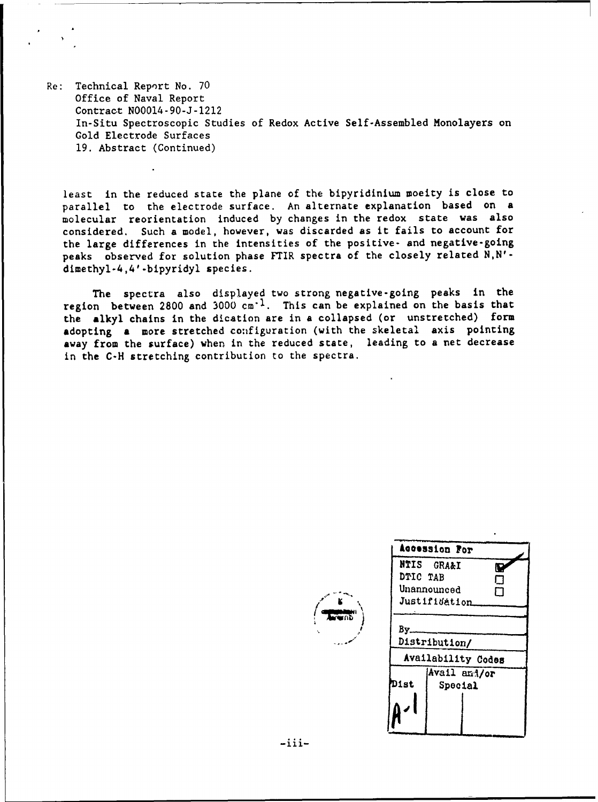Re: Technical Report No. 70 Office of Naval Report Contract N00014-90-J-1212 In-Situ Spectroscopic Studies of Redox Active Self-Assembled Monolayers on Gold Electrode Surfaces 19. Abstract (Continued)

least in the reduced state the plane of the bipyridinium moeity is close to parallel to the electrode surface. An alternate explanation based on a molecular reorientation induced by changes in the redox state was also considered. Such a model, however, was discarded as it fails to account for the large differences in the intensities of the positive- and negative-going peaks observed for solution phase FTIR spectra of the closely related N,N' dimethyl-4,4'-bipyridyl species.

The spectra also displayed two strong negative-going peaks in the region between 2800 and 3000  $\text{cm}^{-1}$ . This can be explained on the basis that the **alkyl chains** in the dication are in a collapsed (or unstretched) form adopting a more stretched configuration (with the skeletal axis pointing away from the surface) when in the reduced state, leading to a net decrease in the **C-H** stretching contribution to the spectra.

**Aocession For** WAAASSIDD W NTIS GRA&I<br>DTIC TAB Unannounced<br>Justifidátion By\_ Distribution/ **Availability** Codes rAvail **any Or '** Special **Dist** -Dis- Se **i i**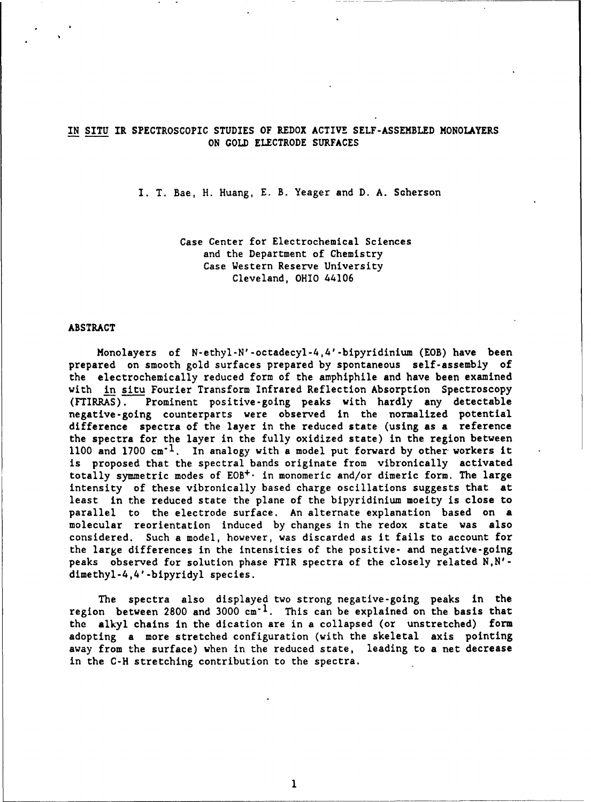## **IN** SITU IR SPECTROSCOPIC STUDIES OF REDOX ACTIVE **SELF-ASSEMBLED** MONOLAYERS ON **GOLD** ELECTRODE **SURFACES**

**I.** T. Bae, H. Huang, **E.** B. Yeager and **D. A.** Scherson

## Case Center for Electrochemical Sciences and the Department of Chemistry Case Western Reserve University Cleveland, OHIO 44106

#### ABSTRACT

Monolayers of N-ethyl-N'-octadecyl-4,4'-bipyridinium (EOB) have been prepared on smooth gold surfaces prepared **by** spontaneous self-assembly of the electrochemically reduced form of the amphiphile and have been examined with in situ Fourier Transform Infrared Reflection Absorption Spectroscopy (FTIRRAS). Prominent positive-going peaks with hardly any detectable negative-going counterparts were observed in the normalized potential difference spectra of the layer in the reduced state (using as a reference the spectra for the layer in the fully oxidized state) in the region between **1100** and **1700** cm"I. In analogy with a model put forward by other workers it is proposed that the spectral bands originate from vibronically activated totally symmetric modes of  $EOB^+$ . in monomeric and/or dimeric form. The large intensity of these vibronically based charge oscillations suggests that at least in the reduced state the plane of the bipyridinium moeity is close to parallel to the electrode surface. An alternate explanation based on a molecular reorientation induced **by** changes in the redox state was also considered. Such a model, however, was discarded as it fails to account for the large differences in the intensities of the positive- and negative-going peaks observed for solution phase FTIR spectra of the closely related **N,N'** dimethyl-4,4'-bipyridyl species.

The spectra also displayed two strong negative-going peaks in the region between **2800** and **3000** cm-1 . This can be explained on the basis that the alkyl chains in the dication are in a collapsed (or unstretched) form adopting a more stretched configuration (with the skeletal axis pointing away from the surface) when in the reduced state, leading to a net decrease in the **C-H** stretching contribution to the spectra.

 $\mathbf 1$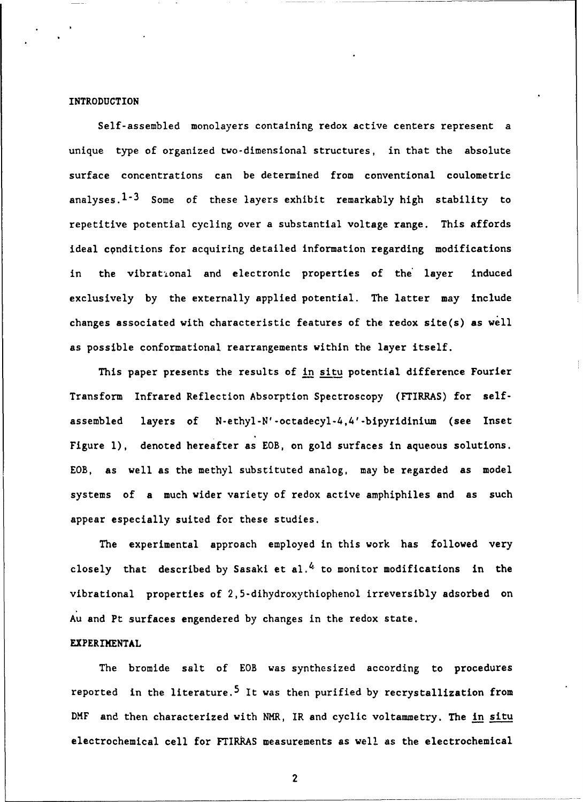#### INTRODUCTION

Self-assembled monolayers containing redox active centers represent a unique type of organized two-dimensional structures, in that the absolute surface concentrations can be determined from conventional coulometric analyses.<sup>1-3</sup> Some of these layers-exhibit remarkably-high stability to repetitive potential cycling over a substantial voltage range. This affords ideal conditions for acquiring detailed information regarding modifications in the vibrational and electronic properties of the' layer induced exclusively **by** the externally applied potential. The latter may include changes associated with characteristic features of the redox site(s) as well as possible conformational rearrangements within the layer itself.

This paper presents the results of in situ potential difference Fourier Transform Infrared Reflection Absorption Spectroscopy (FTIRRAS) for selfassembled layers of N-ethyl-N'-octadecyl-4,4'-bipyridinium (see Inset Figure **1),** denoted hereafter as EOB, on gold surfaces in aqueous solutions. EOB, as well as the methyl substituted analog, may be regarded as model systems of a much wider variety of redox active amphiphiles and as such appear especially suited for these studies.

The experimental approach employed in this work has followed very closely that described by Sasaki et al.<sup>4</sup> to monitor modifications in the vibrational properties of 2,5-dihydroxythiophenol irreversibly adsorbed on Au and Pt surfaces engendered by changes in the redox state.

## EXPERIMENTAL

The bromide salt of **EOB** was synthesized according to procedures reported in the literature.<sup>5</sup> It was then purified by recrystallization from **DMF** and then characterized with NMR, IR and cyclic voltammetry. The in situ electrochemical cell for FTIRRAS measurements as well as the electrochemical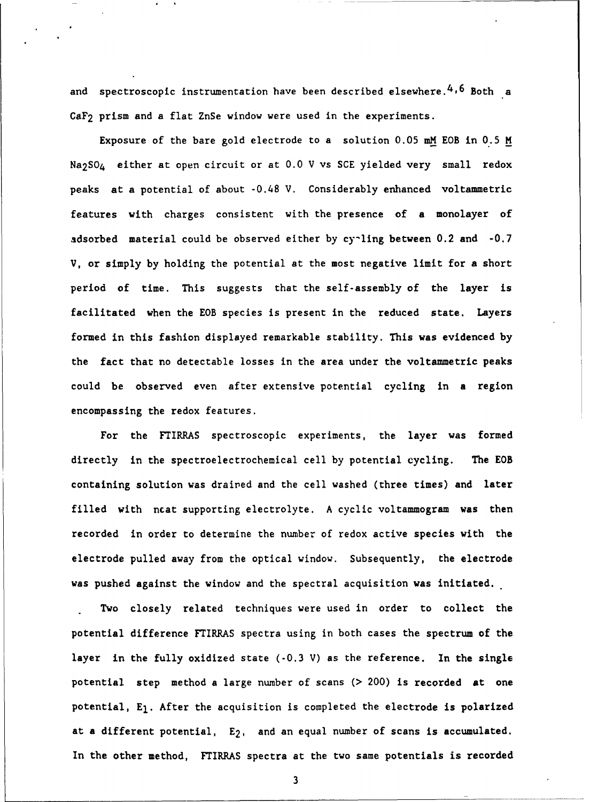and spectroscopic instrumentation have been described elsewhere.<sup>4,6</sup> Both a CaF<sub>2</sub> prism and a flat ZnSe window were used in the experiments.

Exposure of the bare gold electrode to a solution **0.05** mM EOB in **0.5** M Na<sub>2</sub>SO<sub>4</sub> either at open circuit or at 0.0 V vs SCE yielded very small redox peaks at a potential of about -0.48 V. Considerably enhanced voltammetric features with charges consistent with the presence of a monolayer of adsorbed material could be observed either by cy<sup>-</sup>ling between 0.2 and -0.7 **V,** or simply **by** holding the potential at the most negative limit for a short period of time. This suggests that the self-assembly of the layer is facilitated when the EOB species is present in the reduced state. Layers formed in this fashion displayed remarkable stability. This was evidenced **by** the fact that no detectable losses in the area under the voltammetric peaks could be observed even after extensive potential cycling in a region encompassing the redox features.

For the FTIRRAS spectroscopic experiments, the layer was formed directly in the spectroelectrochemical cell **by** potential cycling. The EOB containing solution was drained and the cell washed (three times) and later filled with neat supporting electrolyte. **A** cyclic voltammogram was then recorded in order to determine the number of redox active species with the electrode pulled away from the optical window. Subsequently, the electrode was pushed against the window and the spectral acquisition was initiated.

Two closely related techniques were used in order to collect the potential difference FTIRRAS spectra using in both cases the spectrum of the layer in the fully oxidized state **(-0.3** V) as the reference. In the single potential step method a large number of scans **(>** 200) is recorded at one potential, **E1 .** After the acquisition is completed the electrode is polarized at a different potential, **E2 ,** and an equal number of scans is accumulated. In the other method, FTIRRAS spectra at the two same potentials is recorded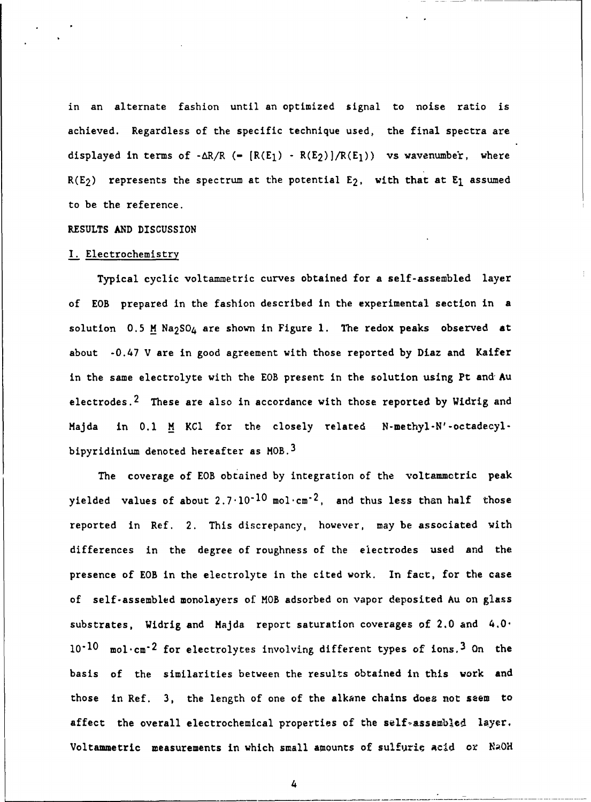in an alternate fashion until an optimized signal to noise ratio is achieved. Regardless of the specific technique used, the final spectra are displayed in terms of  $-\Delta R/R$  (=  $[R(E_1) - R(E_2)]/R(E_1)$ ) vs wavenumber, where  $R(E_2)$  represents the spectrum at the potential  $E_2$ , with that at  $E_1$  assumed to be the reference.

## **RESULTS AND** DISCUSSION

#### I. Electrochemistry

Typical cyclic voltammetric curves obtained for a self-assembled layer of EOB prepared in the fashion described in the experimental section in a solution 0.5 M Na<sub>2</sub>SO<sub>4</sub> are shown in Figure 1. The redox peaks observed at about -0.47 V are in good agreement with those reported by Diaz and Kaifer in the same electrolyte with the EOB present in the solution using Pt and Au electrodes.<sup>2</sup> These are also in accordance with those reported by Widrig and Majda in **0.1** M KCI for the closely related N-methyl-N'-octadecylbipyridinium denoted hereafter as MOB.<sup>3</sup>

The coverage of EOB obtained by integration of the voltammetric peak yielded values of about  $2.7 \cdot 10^{-10}$  mol $\cdot$ cm<sup>-2</sup>, and thus less than half those reported in Ref. 2. This discrepancy, however, may be associated with differences in the degree of roughness of the electrodes used and the presence of EOB in the electrolyte in the cited work. In fact, for the case of self-assembled monolayers of MOB adsorbed on vapor deposited Au on glass substrates, Widrig and Majda report saturation coverages of  $2.0$  and  $4.0<sup>+</sup>$ 10<sup>-10</sup> mol.cm<sup>-2</sup> for electrolytes involving different types of ions.<sup>3</sup> On the basis of the similarities between the results obtained in this work and those in Ref. **3,** the length of one of the alkane chains does not seem to affect the overall electrochemical properties of the self-assembled layer. Voltammetric measurements in which small amounts of sulfuric acid **or** NAOH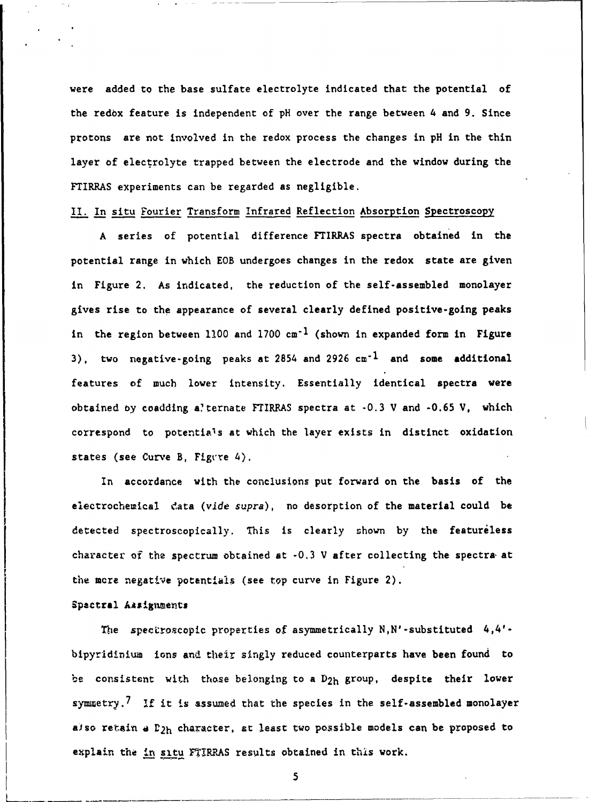were added to the base sulfate electrolyte indicated that the potential of the redbx feature is independent of pH over the range between 4 and **9.** Since protons are not involved in the redox process the changes in **pH** in the thin layer of electrolyte trapped between the electrode and the window during the FTIRRAS experiments can be regarded as negligible.

# II. In situ Fourier Transform Infrared Reflection Absorption **Spectroscopy**

A series of potential difference FTIRRAS spectra obtained in the potential range in which EOB undergoes changes in the redox state are given in Figure 2. As indicated, the reduction of the self-assembled monolayer gives rise to the appearance of several clearly defined positive-going peaks in the region between **1100** and 1700 cm"1 (shown in expanded form in Figure **3),** two negative-going peaks at 2854 and 2926 cm"I and some additional features of much lower intensity. Essentially identical spectra were obtained **by** coadding a7ternate FTIRRAS spectra at **-0.3** V and **-0.65** V, which correspond to potentials at which the layer exists in distinct oxidation states (see Curve B, Figure 4).

In accordance with the conclusions put forward on the basis of the electrochemical *data* (vide supra), no desorption of the material could be detected spectroscopically. This is clearly shown **by** the featureless character **of** the spectrum obtained at **-0.3** V after collecting the spectra at the more negative potentials (see top curve in Figure 2).

#### Spectral *Axsignments*

The spectroscopic properties of asymmetrically N,N'-substituted 4,4' bipyridinium ions and their singly reduced counterparts have been found to be consistent with those belonging to a **D2h** group, despite their lower symmetry.<sup>7</sup> If it is assumed that the species in the self-assembled monolayer also retain a  $r_{2h}$  character, at least two possible models can be proposed to explain the in situ FJIRRAS results obtained in this work.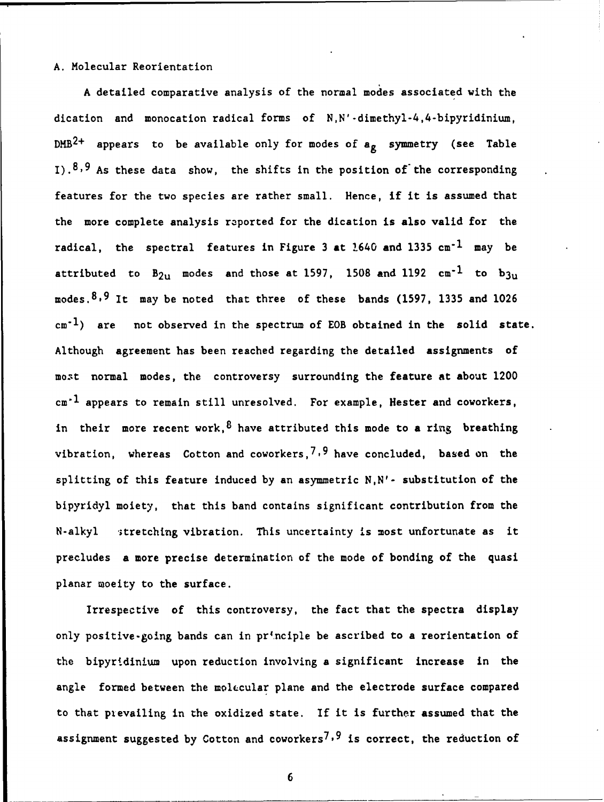## **A.** Molecular Reorientation

**A** detailed comparative analysis of the normal modes associated with the dication and monocation radical forms of N,N'-dimethyl-4,4-bipyridinium, DMB<sup>2+</sup> appears to be available only for modes of  $a_g$  symmetry (see Table  $1)$ .<sup>8,9</sup> As these data show, the shifts in the position of the corresponding features for the two species are rather small. Hence, if it is assumed that the more complete analysis reported for the dication is also valid for the radical, the spectral features in Figure 3 at 1640 and 1335 cm<sup>-1</sup> may be attributed to  $B_{2u}$  modes and those at 1597, 1508 and 1192  $cm^{-1}$  to  $b_{3u}$ modes.<sup>8</sup> , 9 It may be noted that three of these bands **(1597, 1335** and **1026 cm"I )** are not observed in the spectrum of EOB obtained in the solid state. Although agreement has been reached regarding the detailed assignments of most normal modes, the controversy surrounding the feature at about 1200 cm"I appears to remain still unresolved. For example, Hester and coworkers, in their more recent work,  $8$  have attributed this mode to a ring breathing vibration, whereas Cotton and coworkers,  $7,9$  have concluded, based on the splitting of this feature induced by an asymmetric **N,N'-** substitution of the bipyridyl moiety, that this band contains significant contribution from the N-alkyl stretching vibration. This uncertainty is most unfortunate as it precludes a more precise determination of the mode of bonding of the quasi planar moeity to the surface.

Irrespective of this controversy, the fact that the spectra display only positive-going bands can in principle be ascribed to a reorientation of the bipyridinium upon reduction involving a significant increase in the angle formed between the molecular plane and the electrode surface compared to that pievailing in the oxidized state. If it is further assumed that the assignment suggested by Cotton and coworkers<sup>7,9</sup> is correct, the reduction of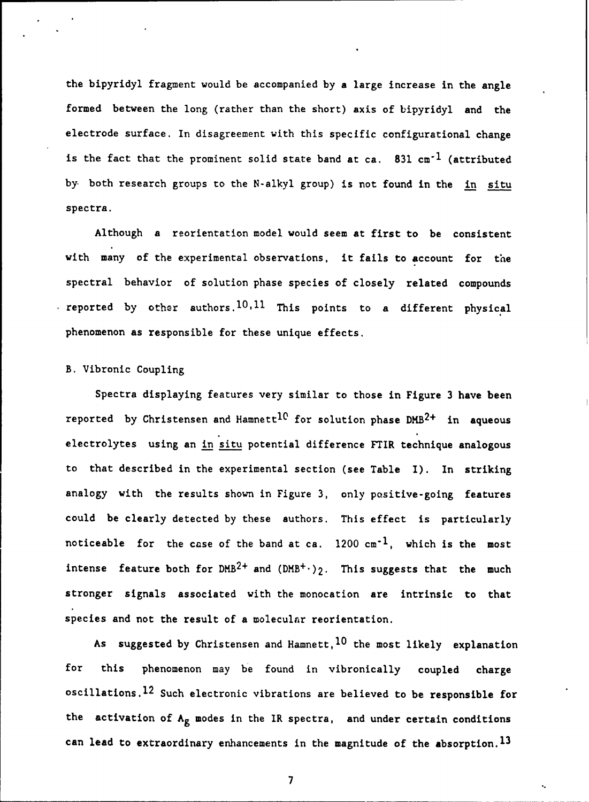the bipyridyl fragment would be accompanied by a large increase in the angle formed between the long (rather than the short) axis of bipyridyl and the electrode surface. In disagreement with this specific configurational change is the fact that the prominent solid state band at ca. 831  $cm^{-1}$  (attributed **by.** both research groups to the N-alkyl group) is not found in the in situ spectra.

Although a reorientation model would seem at first to be consistent with many of the experimental observations, it fails to account for the spectral behavior of solution phase species of closely related compounds reported by other authors. $^{10,11}$  This points to a different physical phenomenon as responsible for these unique effects.

#### B. Vibronic Coupling

Spectra displaying features very similar to those in Figure 3 have been reported by Christensen and Hamnett<sup>10</sup> for solution phase  $DMB^{2+}$  in aqueous electrolytes using an in situ potential difference FTIR technique analogous to that described in the experimental section (see Table I). In striking analogy with the results shown in Figure 3, only positive-going features could be clearly detected by these authors. This effect is particularly noticeable for the case of the band at ca.  $1200 \text{ cm}^{-1}$ , which is the most intense feature both for  $DMB^{2+}$  and  $(DMB^{+}.)_{2}$ . This suggests that the much stronger signals associated with the monocation are intrinsic to that species and not the result of a molecular reorientation.

As suggested by Christensen and Hamnett, <sup>10</sup> the most likely explanation for this phenomenon may be found in vibronically coupled charge oscillations. 12 Such electronic vibrations are believed to be responsible for the activation of  $A_g$  modes in the IR spectra, and under certain conditions can lead to extraordinary enhancements in the magnitude of the absorption.<sup>13</sup>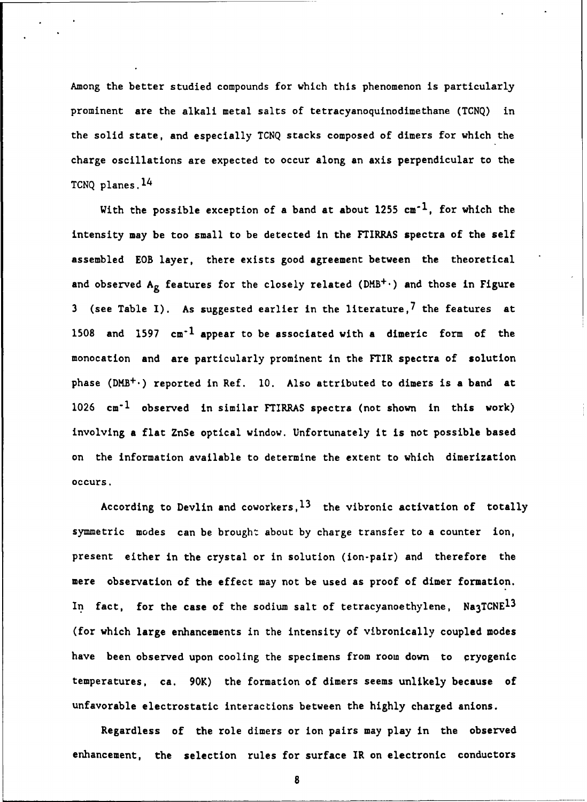Among the better studied compounds for which this phenomenon is particularly prominent are the alkali metal salts of tetracyanoquinodimethane (TCNQ) in the solid state, and especially TCNQ stacks composed of dimers for which the charge oscillations are expected to occur along an axis perpendicular to the **TCNQ** planes. <sup>14</sup>

With the possible exception of a band at about 1255  $cm^{-1}$ , for which the intensity may be too small to be detected in the FTIRRAS spectra of the self assembled EOB layer, there exists good agreement between the theoretical and observed A<sub>g</sub> features for the closely related (DMB<sup>+</sup>·) and those in Figure **3** (see Table I). As suggested earlier in the literature, 7 the features at **<sup>1508</sup>**and **1597** cm"1 appear to be associated with a dimeric form of the monocation and are particularly prominent in the FTIR spectra of solution phase (DMB+.) reported in Ref. **10.** Also attributed to dimers is a band at **<sup>1026</sup>**cm"1 observed in similar FTIRRAS spectra (not shown in this work) involving a flat ZnSe optical window. Unfortunately it is not possible based on the information available to determine the extent to which dimerization occurs.

According to Devlin and coworkers,  $13$  the vibronic activation of totally symmetric modes can be brought about by charge transfer to a counter ion, present either in the crystal or in solution (ion-pair) and therefore the mere observation of the effect may not be used as proof of dimer formation. In fact, for the case of the sodium salt of tetracyanoethylene,  $Na_3TCNE^{13}$ (for which large enhancements in the intensity of vibronically coupled modes have been observed upon cooling the specimens from room down to cryogenic temperatures, ca. 90K) the formation of dimers seems unlikely because of unfavorable electrostatic interactions between the **highly** charged anions.

Regardless of the role dimers or ion pairs may play in the observed enhancement, the selection rules for surface IR on electronic conductors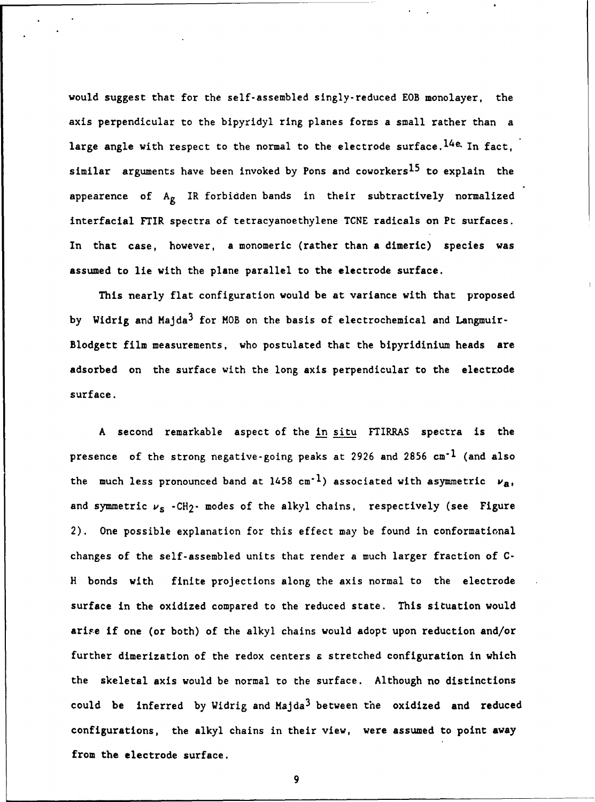would suggest that for the self-assembled singly-reduced EOB monolayer, the axis perpendicular to the bipyridyl ring planes forms a small rather than a large angle with respect to the normal to the electrode surface.<sup>14e.</sup> In fact, similar arguments have been invoked by Pons and coworkers<sup>15</sup> to explain the appearence of  $A_g$  IR forbidden bands in their subtractively normalized interfacial FTIR spectra of tetracyanoethylene TCNE radicals on Pt surfaces. In that case, however, a monomeric (rather than a dimeric) species was assumed to lie with the plane parallel to the electrode surface.

This nearly flat configuration would be at variance with that proposed by Widrig and Majda<sup>3</sup> for MOB on the basis of electrochemical and Langmuir-Blodgett film measurements, who postulated that the bipyridinium heads are adsorbed on the surface with the long axis perpendicular to the electrode surface.

A second remarkable aspect of the in situ FTIRRAS spectra is the presence of the strong negative-going peaks at 2926 and **2856** cm' (and also the much less pronounced band at  $1458 \text{ cm}^{-1}$ ) associated with asymmetric  $v_a$ , and symmetric  $v_s$  -CH<sub>2</sub> - modes of the alkyl chains, respectively (see Figure 2). One possible explanation for this effect may be found in conformational changes of the self-assembled units that render a much larger fraction of **C-**H bonds with finite projections along the axis normal to the electrode surface in the oxidized compared to the reduced state. This situation would arise if one (or both) of the alkyl chains would adopt upon reduction and/or further dimerization of the redox centers a stretched configuration in which the skeletal axis would be normal to the surface. Although no distinctions could be inferred by Widrig and Majda<sup>3</sup> between the oxidized and reduced configurations, the alkyl chains in their view, were assumed to point away from the electrode surface.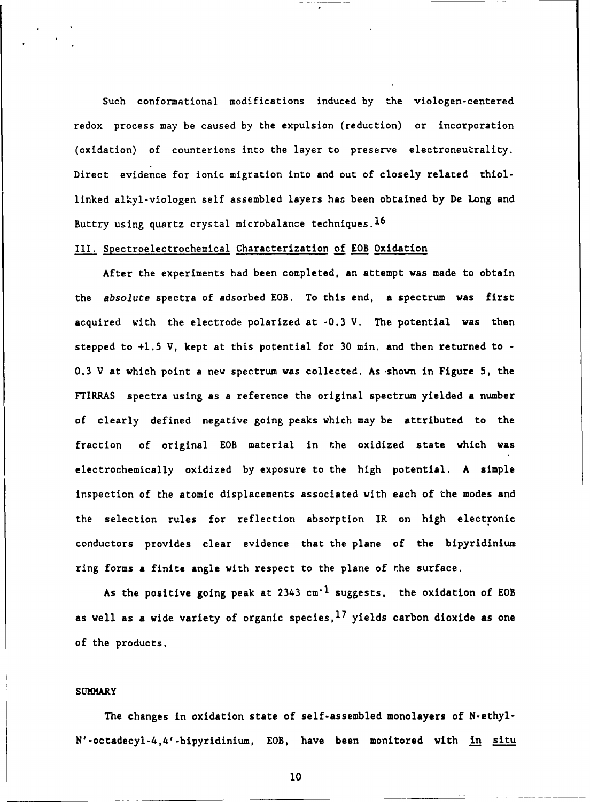Such conformational modifications induced by the viologen-centered redox process may be caused by the expulsion (reduction) or incorporation (oxidation) of counterions into the layer to preserve electroneutrality. Direct evidence for ionic migration into and out of closely related thiollinked alkyl-viologen self assembled layers has been obtained **by** De Long and Buttry using quartz crystal microbalance techniques. 16

## III. Spectroelectrochemical Characterization of **EOB** Oxidation

After the experiments had been completed, an attempt was made to obtain the absolute spectra of adsorbed EOB. To this end, a spectrum was first acquired with the electrode polarized at **-0.3** V. The potential was then stepped to **+1.5** V, kept at this potential for **30** min. and then returned to - **0.3** V at which point a new spectrum was collected. As -shown in Figure **5,** the FTIRRAS spectra using as a reference the original spectrum yielded a number of clearly defined negative going peaks which may be attributed to the fraction of original **EOB** material in the oxidized state which was electrochemically oxidized by exposure to the high potential. A simple inspection of the atomic displacements associated with each of the modes and the selection rules for reflection absorption IR on high electronic conductors provides clear evidence that the plane of the bipyridinium ring forms a finite angle with respect to the plane of the surface.

As the positive going peak at 2343  $cm^{-1}$  suggests, the oxidation of EOB as well as a wide variety of organic species,  $17$  yields carbon dioxide as one of the products.

#### **SUMMARY**

The changes in oxidation state of self-assembled monolayers of N-ethyl-N'-octadecyl-4,4'-bipyridinium, EOB, have been monitored with in situ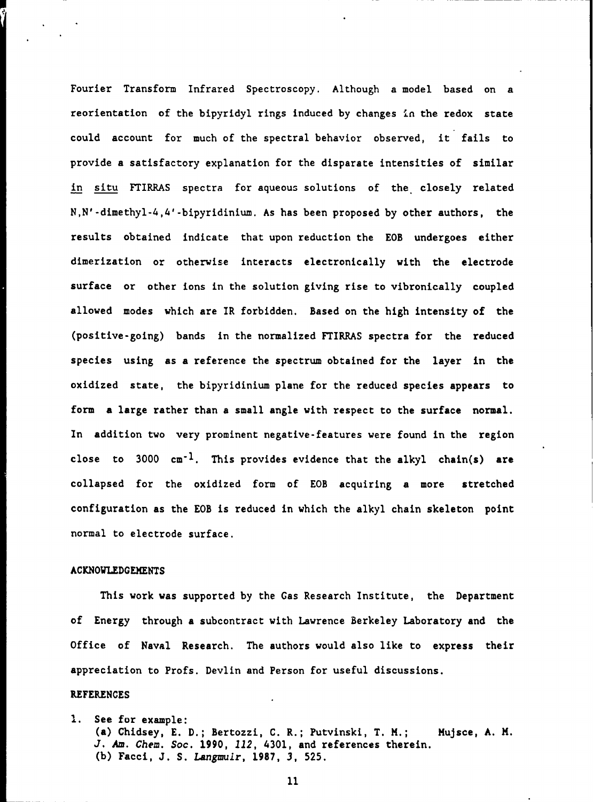Fourier Transform Infrared Spectroscopy. Although a model based on a reorientation of the bipyridyl rings induced by changes in the redox state could account for much of the spectral behavior observed, it fails to provide a satisfactory explanation for the disparate intensities of similar in situ FTIRRAS spectra for aqueous solutions of the closely related N,N'-dimethyl-4,4'-bipyridinium. As has been proposed by other authors, the results obtained indicate that upon reduction the EOB undergoes either dimerization or otherwise interacts electronically with the electrode surface or other ions in the solution giving rise to vibronically coupled allowed modes which are IR forbidden. Based on the high intensity of the (positive-going) bands in the normalized FTIRRAS spectra for the reduced species using as a reference the spectrum obtained for the layer in the oxidized state, the bipyridinium plane for the reduced species appears to form a large rather than a small angle with respect to the surface normal. In addition two very prominent negative-features were found in the region close to 3000  $cm^{-1}$ . This provides evidence that the alkyl chain(s) are collapsed for the oxidized form of EOB acquiring a more stretched configuration as the EOB is reduced in which the alkyl chain skeleton point normal to electrode surface.

#### ACKNOWLEDGEMENTS

This work was supported **by** the Gas Research Institute, the Department of Energy through a subcontract with Lawrence Berkeley Laboratory and the Office of Naval Research. The authors would also like to express their appreciation to Profs. Devlin and Person for useful discussions.

#### **REFERENCES**

**1.** See for example: (a) Chidsey, E. **D.;** Bertozzi, **C.** R.; Putvinski, T. M.; Mujsce, **A. M.** J. Am. Chem. Soc. **1990,** 112, 4301, and references therein. **(b)** Facci, **J. S.** Langmuir, 1987, **3, 525.**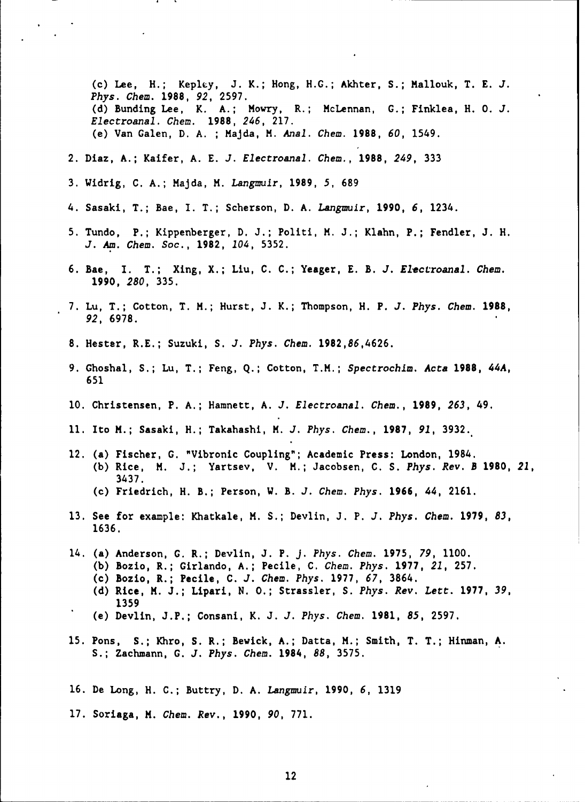(c) Lee, H.; Kepley, **J.** K.; Hong, **H.G.;** Akhter, **S.;** Mallouk, T. **E. J.** Phys. Chem. **1988, 92, 2597. (d)** Bunding Lee, K. **A.;** Mowry, R.; McLennan, **G.;** Finklea, H. **0. J.** Electroanal. Chem. **1988,** 246, **217.** (e) Van Galen, **D. A.** ; Majda, **M.** Anal. Chem. **1988, 60,** 1549.

- 2. Diaz, **A.;** Kaifer, **A. E. J.** Electroanal. Chem., **1988,** 249, **333**
- **3.** Widrig, **C. A.;** MaJda, **M.** Langmuir, **1989, 5, 689**
- 4. Sasaki, T.; Bae, **I.** T.; Scherson, **D. A.** Langmulr, **1990, 6,** 1234.
- **5.** Tundo, P.; Kippenberger, **D. J.;** Politi, **M. J.;** Klahn, P.; Fendler, **J.** H. **J.** Am. Chem. Soc., **1982,** 104, **5352.**
- **6.** Bae, I. T.; Xing, X.; Liu, **C. C.;** Yeager, **E.** B. **J.** Electroanal. Chem. **1990,** 280, **335.**
- 7. Lu, T.; Cotton, T. M.; Hurst, **J.** K.; Thompson, H. P. **J.** Phys. Chem. **1988, 92, 6978.**
- **8.** Hester, R.E.; Suzuki, **S. J.** Phys. Chem. **1982,86,4626.**
- **9.** Ghoshal, **S.;** Lu, T.; Feng, **Q.;** Cotton, T.M.; Spectrochim. Acta 1988, 44A, **651**
- **10.** Christensen, P. **A.;** Hamnett, **A. J.** Electroanal. Chem., **1989, 263,** 49.
- **11.** Ito **M.;** Sasaki, H.; Takahashi, **M. J.** Phys. Chem., **1987, 91, 3932.**
- 12. (a) Fischer, **G.** "Vibronic Coupling"; Academic Press: London, 1984. **(b)** Rice, **M. J.;** Yartsev, V. **M.;** Jacobsen, **C. S.** Phys. Rev. **B** 1980, 21, **3437.** (c) Friedrich, H. B.; Person, W. B. **J.** Chem. Phys. **1966,** 44, **2161.**
- **13.** See for example: Khatkale, **M. S.; Devlin, J.** P. **J.** Phys. Chem. **1979, 83, 1636.**
- 14. (a) Anderson, **G.** R.; Devlin, **J.** P. *J.* Phys. Chem. **1975,** 79, **1100.**
	- (b) Bozio, R.; Girlando, **A.;** Pecile, **C.** Chem. Phys. **1977,** 21, **257.**
	- (c) Bozio, R.; Pecile, **C. J.** Chem. Phys. **1977, 67, 3864.**
	- **(d)** Rice, **M. J.;** Lipari, **N. 0.;** Strassler, **S.** Phys. Rev. Lett. **1977, 39, 1359**
	- (e) Devlin, **J.P.;** Consani, K. **J. J.** Phys. Chem. **1981, 85, 2597.**
- **15.** Pons, **S.;** Khro, **S.** R.; Bewick, **A.;** Datta, **M.;** Smith, T. T.; Hinman, **A. S.;** Zachmann, **G.** J. Phys. Chem. 1984, **88, 3575.**
- 16. De Long, H. **C.;** Buttry, D. A. Langmuir, 1990, 6, 1319
- 17. Soriaga, M. Chem. Rev., **1990,** 90, 771.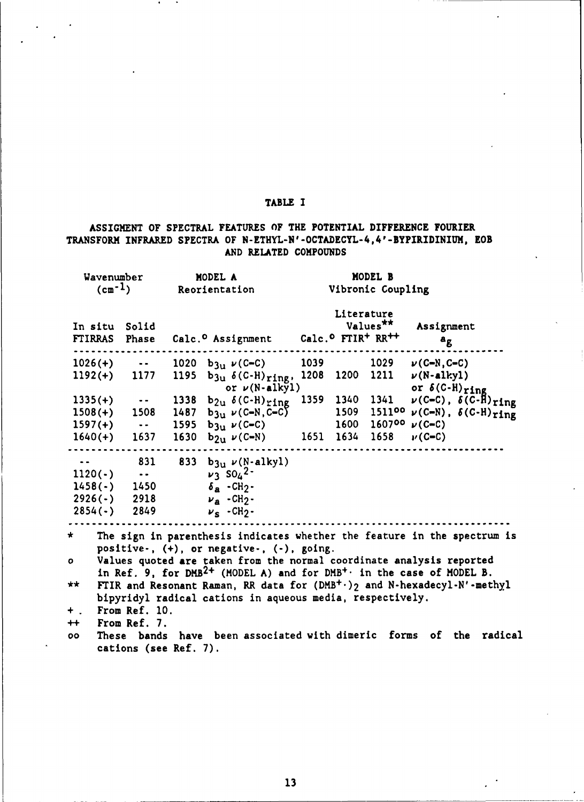# TABLE I

# ASSIGMENT **OF** SPECTRAL **FEATURES** OF THE **POTENTIAL** DIFFERENCE FOURIER TRANSFORM INFRARED SPECTRA OF N-ETHYL-N'-OCTADECYL-4,4'-BYPIRIDINIUM, EOB **AND** RELATED **COMPOUNDS**

| Wavenumber<br>$(\text{cm}^{-1})$                           |                                                                       | MODEL A<br>Reorientation     |                                                                                                                                                                                                                                                                                                                                                                                                                                                                                            |              | MODEL B<br>Vibronic Coupling |                                                                                             |                                                                                                                                          |             |
|------------------------------------------------------------|-----------------------------------------------------------------------|------------------------------|--------------------------------------------------------------------------------------------------------------------------------------------------------------------------------------------------------------------------------------------------------------------------------------------------------------------------------------------------------------------------------------------------------------------------------------------------------------------------------------------|--------------|------------------------------|---------------------------------------------------------------------------------------------|------------------------------------------------------------------------------------------------------------------------------------------|-------------|
| In situ<br><b>FTIRRAS</b>                                  | Solid<br>Phase                                                        |                              | Calc. <sup>O</sup> Assignment                                                                                                                                                                                                                                                                                                                                                                                                                                                              |              |                              | Literature<br>Values <sup>**</sup><br>Calc. <sup>o</sup> FTIR <sup>+</sup> RR <sup>++</sup> | Assignment<br>$a_{\rm g}$                                                                                                                |             |
| $1026(+)$<br>$1192(+)$                                     | $\bullet$ $\bullet$<br>1177                                           | 1020<br>1195                 | $b_{3u}$ $\nu$ (C-C)<br>$b_{3u}$ $\delta$ (C-H) ring.<br>or $\nu(N\text{-}alkyl)$                                                                                                                                                                                                                                                                                                                                                                                                          | 1039<br>1208 | 1200                         | 1029<br>1211                                                                                | $\nu$ (C-N,C-C)<br>$\nu(N\text{-}\text{alkyl})$                                                                                          |             |
| $1335(+)$<br>$1508(+)$<br>$1597(+)$<br>$1640(+)$           | $\bullet$ $\bullet$<br>1508<br>$\sim 100$ km s $^{-1}$<br>1637        | 1338<br>1487<br>1595<br>1630 | $b_{2u}$ $\delta$ (C-H) <sub>ring</sub><br>$b_{3u}$ $\nu$ (C-N, C-C)<br>$b_{3u}$ $\nu$ (C-C)<br>$b_{211} \nu$ (C=N)                                                                                                                                                                                                                                                                                                                                                                        | 1359<br>1651 | 1340<br>1509<br>1600<br>1634 | 1341<br>151100<br>1658                                                                      | or $\delta$ (C-H)ring<br>$\nu$ (C-C), $\delta$ (C-H)ring<br>$\nu$ (C-N), $\delta$ (C-H) <sub>ring</sub><br>$160700 \nu(C-C)$<br>$V(C-C)$ |             |
| $1120(-)$<br>$1458(-)$<br>$2926(-)$<br>$2854(-)$           | 831<br>$\bullet$ $\bullet$ .<br>1450<br>2918<br>2849                  | 833                          | $b_{3u} \nu(N-alkyl)$<br>$\nu_3$ SO <sub>4</sub> 2-<br>$\delta_{\mathbf{a}}$ -CH <sub>2</sub> -<br>$v_a$ -CH <sub>2</sub> -<br>$v_s$ -CH <sub>2</sub> -                                                                                                                                                                                                                                                                                                                                    |              |                              |                                                                                             |                                                                                                                                          |             |
| $\star$<br>$\bullet$<br>$\star\star$<br>$+$ .<br>$+$<br>oo | From Ref. 10.<br>From Ref. 7.<br>These bands<br>cations (see Ref. 7). |                              | The sign in parenthesis indicates whether the feature in the spectrum is<br>positive., (+), or negative., (-), going.<br>Values quoted are taken from the normal coordinate analysis reported<br>in Ref. 9, for DMB <sup>2+</sup> (MODEL A) and for DMB <sup>+</sup> · in the case of MODEL B.<br>FTIR and Resonant Raman, RR data for $(DMB^{+} \cdot)$ and N-hexadecyl-N'-methyl<br>bipyridyl radical cations in aqueous media, respectively.<br>have been associated with dimeric forms |              |                              |                                                                                             | of                                                                                                                                       | the radical |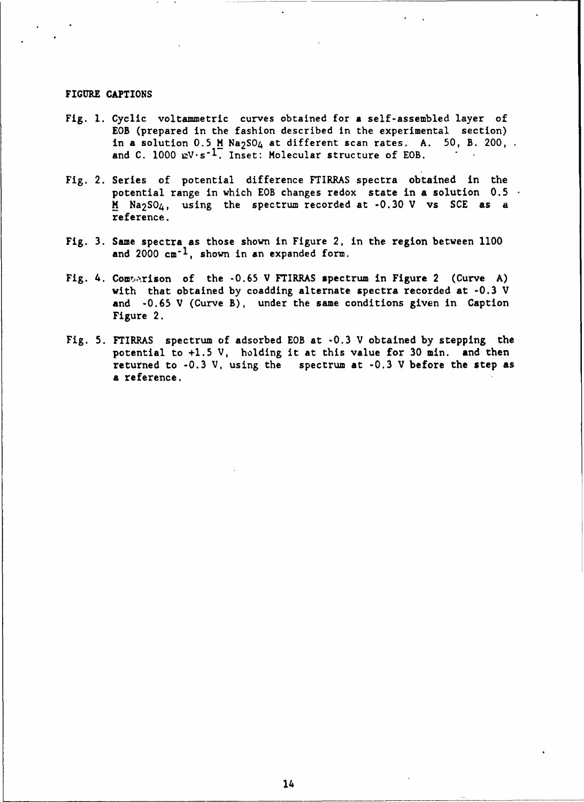#### FIGURE CAPTIONS

- Fig. **1.** Cyclic voltammetric curves obtained for a self-assembled layer of EOB (prepared in the fashion described in the experimental section) in a solution  $0.5$  M  $Na_2SO_4$  at different scan rates. A. 50, B. 200, . and C. 1000  $xV \cdot s^{-1}$ . Inset: Molecular structure of EOB.
- Fig. 2. Series of potential difference FTIRRAS spectra obtained in the potential range in which EOB changes redox state in a solution **0.5** M Na2SO4 , using the spectrum recorded at **-0.30** V vs **SCE** as a reference.
- Fig. **3.** Same spectra as those shown in Figure 2, in the region between **1100** and 2000  $cm^{-1}$ , shown in an expanded form.
- Fig. 4. Comparison of the **-0.65 V FTIRRAS** spectrum in Figure 2 (Curve A) with that obtained **by** coadding alternate spectra recorded at **-0.3** V and **-0.65** V (Curve B), under the same conditions given in Caption Figure 2.
- Fig. **5.** FTIRRAS spectrum of adsorbed EOB at **-0.3** V obtained **by** stepping the potential to **+1.5 V,** holding it at this value for **30** min. and then returned to **-0.3** V, using the spectrum at **-0.3** V before the step as a reference.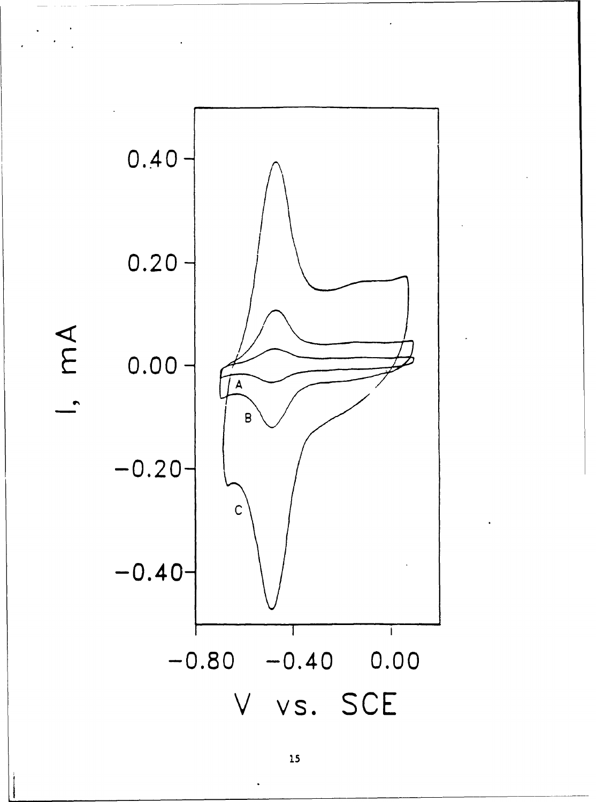

 $\ddot{\phantom{a}}$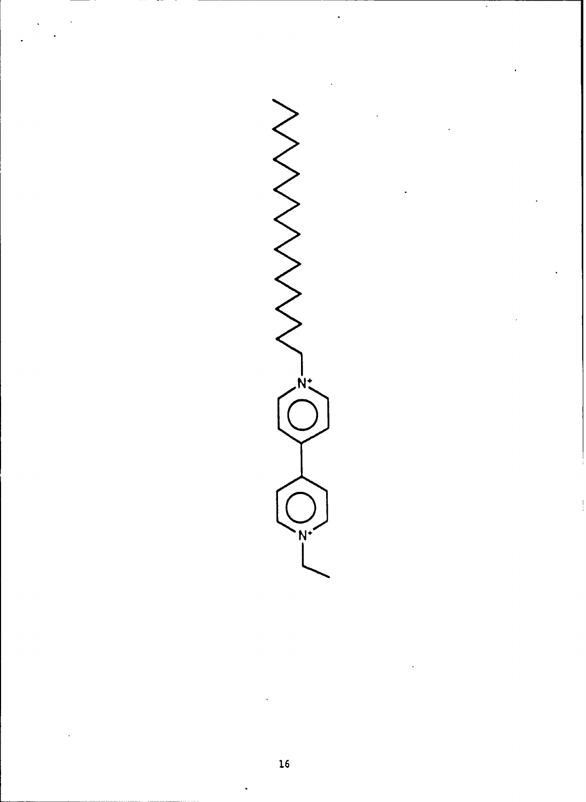NANNAN Ņ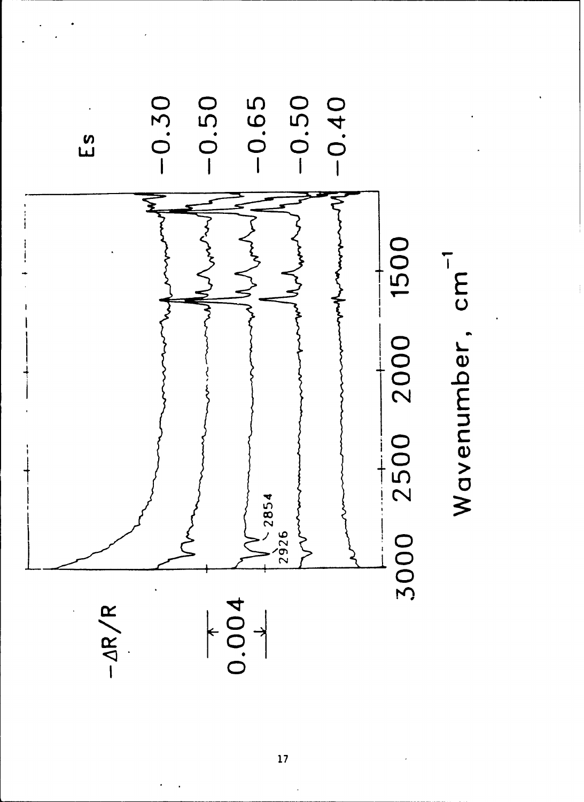

 $\frac{17}{2}$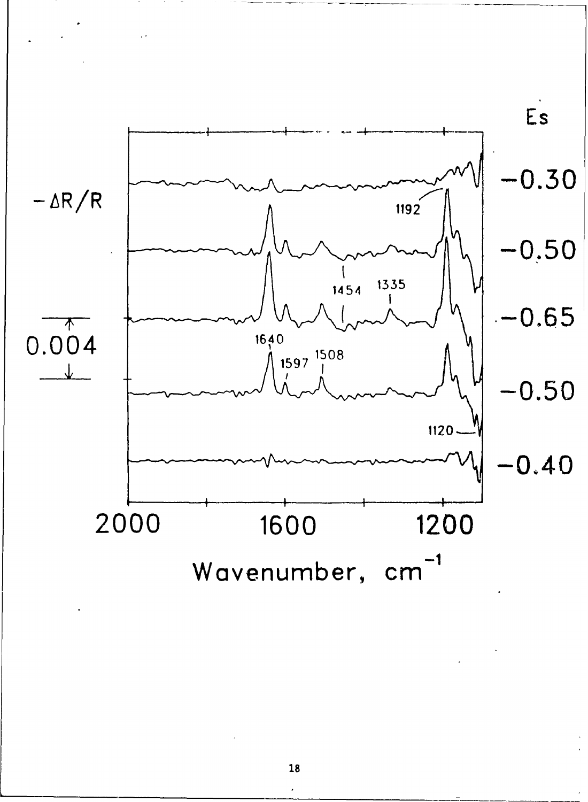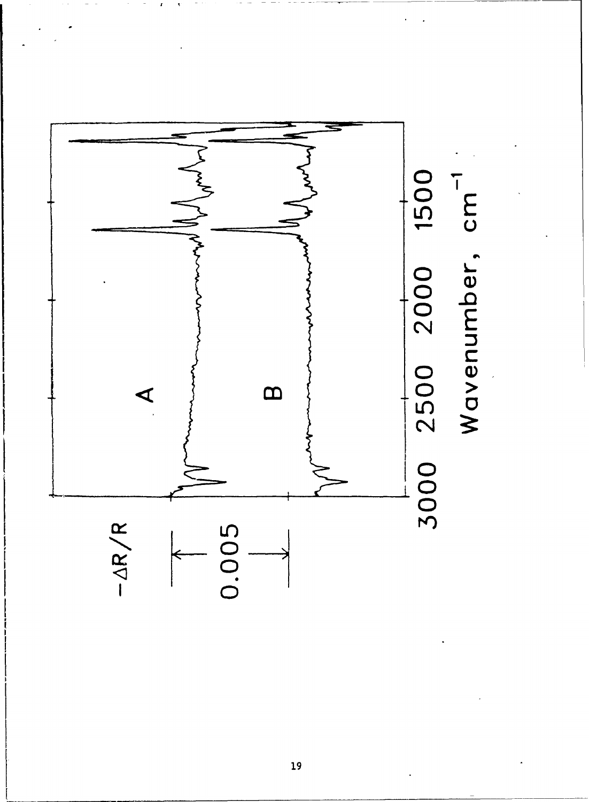